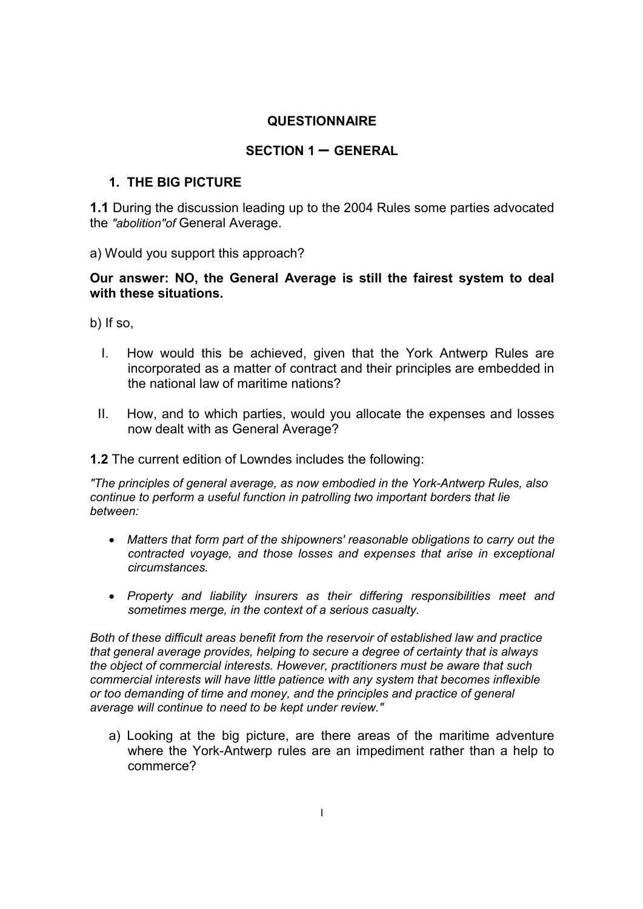## **QUESTIONNAIRE**

## **SECTION 1 – GENERAL**

## **1. THE BIG PICTURE**

**1.1** During the discussion leading up to the 2004 Rules some parties advocated the *"abolition"of* General Average.

a) Would you support this approach?

**Our answer: NO, the General Average is still the fairest system to deal with these situations.** 

b) If so,

- I. How would this be achieved, given that the York Antwerp Rules are incorporated as a matter of contract and their principles are embedded in the national law of maritime nations?
- II. How, and to which parties, would you allocate the expenses and losses now dealt with as General Average?

**1.2** The current edition of Lowndes includes the following:

*"The principles of general average, as now embodied in the York-Antwerp Rules, also continue to perform a useful function in patrolling two important borders that lie between:*

- *Matters that form part of the shipowners' reasonable obligations to carry out the contracted voyage, and those losses and expenses that arise in exceptional circumstances.*
- *Property and liability insurers as their differing responsibilities meet and sometimes merge, in the context of a serious casualty.*

*Both of these difficult areas benefit from the reservoir of established law and practice that general average provides, helping to secure a degree of certainty that is always the object of commercial interests. However, practitioners must be aware that such commercial interests will have little patience with any system that becomes inflexible or too demanding of time and money, and the principles and practice of general average will continue to need to be kept under review."*

a) Looking at the big picture, are there areas of the maritime adventure where the York-Antwerp rules are an impediment rather than a help to commerce?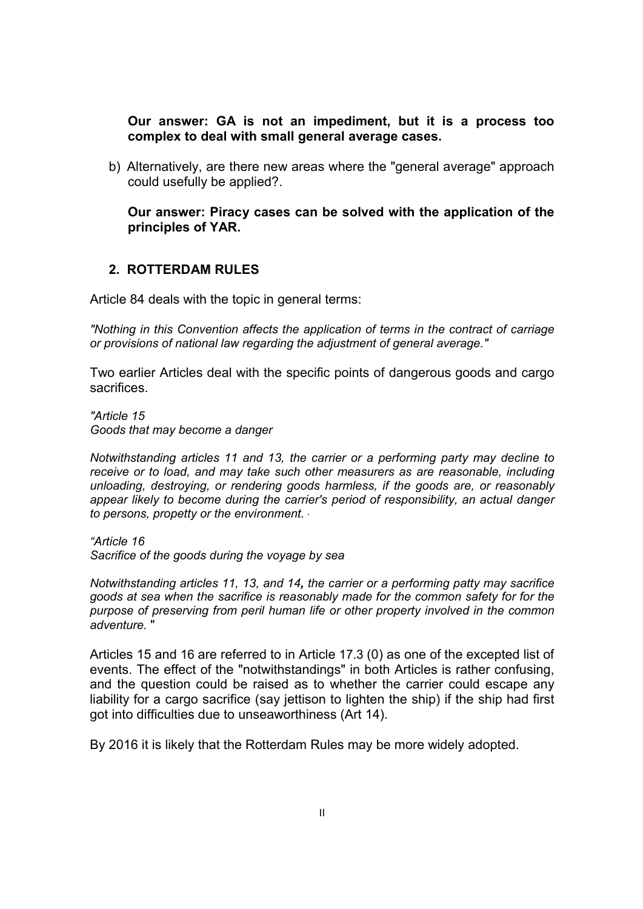**Our answer: GA is not an impediment, but it is a process too complex to deal with small general average cases.** 

b) Alternatively, are there new areas where the "general average" approach could usefully be applied?.

**Our answer: Piracy cases can be solved with the application of the principles of YAR.**

#### **2. ROTTERDAM RULES**

Article 84 deals with the topic in general terms:

*"Nothing in this Convention affects the application of terms in the contract of carriage or provisions of national law regarding the adjustment of general average."*

Two earlier Articles deal with the specific points of dangerous goods and cargo sacrifices.

*"Article 15 Goods that may become a danger*

*Notwithstanding articles 11 and 13, the carrier or a performing party may decline to receive or to load, and may take such other measurers as are reasonable, including unloading, destroying, or rendering goods harmless, if the goods are, or reasonably appear likely to become during the carrier's period of responsibility, an actual danger* to persons, propetty or the environment.

*"Article 16 Sacrifice of the goods during the voyage by sea*

*Notwithstanding articles 11, 13, and 14, the carrier or a performing patty may sacrifice goods at sea when the sacrifice is reasonably made for the common safety for for the purpose of preserving from peril human life or other property involved in the common adventure.* "

Articles 15 and 16 are referred to in Article 17.3 (0) as one of the excepted list of events. The effect of the "notwithstandings" in both Articles is rather confusing, and the question could be raised as to whether the carrier could escape any liability for a cargo sacrifice (say jettison to lighten the ship) if the ship had first got into difficulties due to unseaworthiness (Art 14).

By 2016 it is likely that the Rotterdam Rules may be more widely adopted.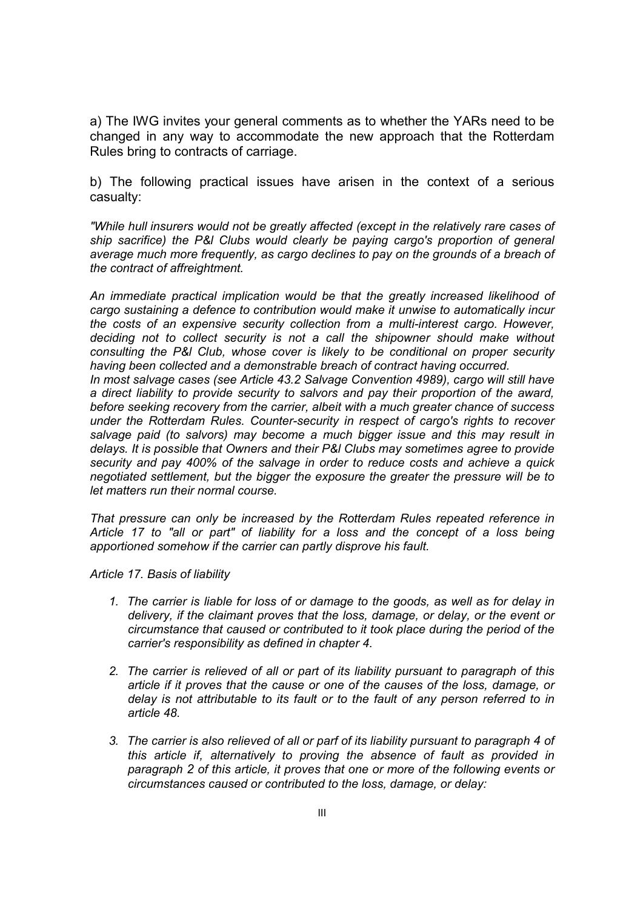a) The IWG invites your general comments as to whether the YARs need to be changed in any way to accommodate the new approach that the Rotterdam Rules bring to contracts of carriage.

b) The following practical issues have arisen in the context of a serious casualty:

*"While hull insurers would not be greatly affected (except in the relatively rare cases of ship sacrifice) the P&l Clubs would clearly be paying cargo's proportion of general average much more frequently, as cargo declines to pay on the grounds of a breach of the contract of affreightment.*

*An immediate practical implication would be that the greatly increased likelihood of cargo sustaining a defence to contribution would make it unwise to automatically incur the costs of an expensive security collection from a multi-interest cargo. However, deciding not to collect security is not a call the shipowner should make without consulting the P&l Club, whose cover is likely to be conditional on proper security having been collected and a demonstrable breach of contract having occurred.*

In most salvage cases (see Article 43.2 Salvage Convention 4989), cargo will still have *a direct liability to provide security to salvors and pay their proportion of the award, before seeking recovery from the carrier, albeit with a much greater chance of success under the Rotterdam Rules. Counter-security in respect of cargo's rights to recover salvage paid (to salvors) may become a much bigger issue and this may result in delays. It is possible that Owners and their P&l Clubs may sometimes agree to provide security and pay 400% of the salvage in order to reduce costs and achieve a quick negotiated settlement, but the bigger the exposure the greater the pressure will be to let matters run their normal course.*

*That pressure can only be increased by the Rotterdam Rules repeated reference in Article 17 to "all or part" of liability for a loss and the concept of a loss being apportioned somehow if the carrier can partly disprove his fault.*

*Article 17. Basis of liability*

- *1. The carrier is liable for loss of or damage to the goods, as well as for delay in delivery, if the claimant proves that the loss, damage, or delay, or the event or circumstance that caused or contributed to it took place during the period of the carrier's responsibility as defined in chapter 4.*
- *2. The carrier is relieved of all or part of its liability pursuant to paragraph of this article if it proves that the cause or one of the causes of the loss, damage, or delay is not attributable to its fault or to the fault of any person referred to in article 48.*
- *3. The carrier is also relieved of all or parf of its liability pursuant to paragraph 4 of this article if, alternatively to proving the absence of fault as provided in paragraph 2 of this article, it proves that one or more of the following events or circumstances caused or contributed to the loss, damage, or delay:*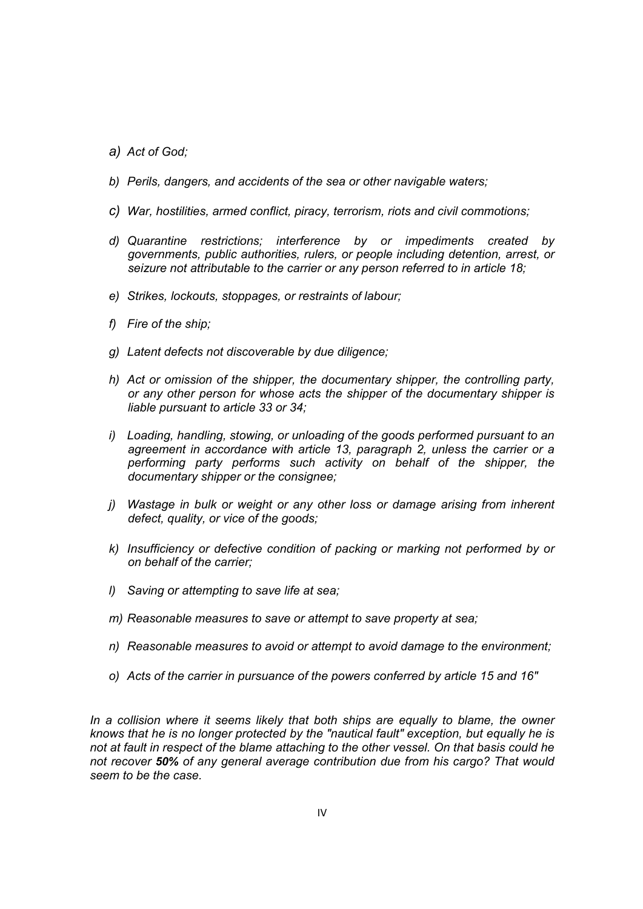- *a) Act of God;*
- *b) Perils, dangers, and accidents of the sea or other navigable waters;*
- *c) War, hostilities, armed conflict, piracy, terrorism, riots and civil commotions;*
- *d) Quarantine restrictions; interference by or impediments created by governments, public authorities, rulers, or people including detention, arrest, or seizure not attributable to the carrier or any person referred to in article 18;*
- *e) Strikes, lockouts, stoppages, or restraints of labour;*
- *f) Fire of the ship;*
- *g) Latent defects not discoverable by due diligence;*
- *h) Act or omission of the shipper, the documentary shipper, the controlling party, or any other person for whose acts the shipper of the documentary shipper is liable pursuant to article 33 or 34;*
- *i) Loading, handling, stowing, or unloading of the goods performed pursuant to an agreement in accordance with article 13, paragraph 2, unless the carrier or a performing party performs such activity on behalf of the shipper, the documentary shipper or the consignee;*
- *j) Wastage in bulk or weight or any other loss or damage arising from inherent defect, quality, or vice of the goods;*
- *k) Insufficiency or defective condition of packing or marking not performed by or on behalf of the carrier;*
- *l) Saving or attempting to save life at sea;*
- *m) Reasonable measures to save or attempt to save property at sea;*
- *n) Reasonable measures to avoid or attempt to avoid damage to the environment;*
- *o) Acts of the carrier in pursuance of the powers conferred by article 15 and 16"*

*In a collision where it seems likely that both ships are equally to blame, the owner knows that he is no longer protected by the "nautical fault" exception, but equally he is not at fault in respect of the blame attaching to the other vessel. On that basis could he not recover 50% of any general average contribution due from his cargo? That would seem to be the case.*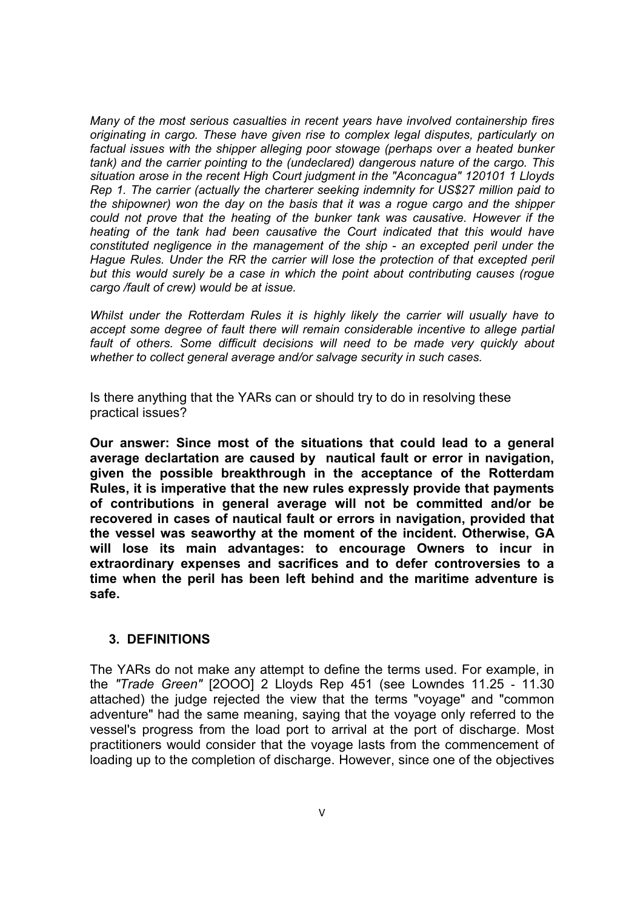*Many of the most serious casualties in recent years have involved containership fires originating in cargo. These have given rise to complex legal disputes, particularly on factual issues with the shipper alleging poor stowage (perhaps over a heated bunker tank) and the carrier pointing to the (undeclared) dangerous nature of the cargo. This situation arose in the recent High Court judgment in the "Aconcagua" 120101 1 Lloyds Rep 1. The carrier (actually the charterer seeking indemnity for US\$27 million paid to the shipowner) won the day on the basis that it was a rogue cargo and the shipper could not prove that the heating of the bunker tank was causative. However if the heating of the tank had been causative the Court indicated that this would have constituted negligence in the management of the ship - an excepted peril under the Hague Rules. Under the RR the carrier will lose the protection of that excepted peril but this would surely be a case in which the point about contributing causes (rogue cargo /fault of crew) would be at issue.*

*Whilst under the Rotterdam Rules it is highly likely the carrier will usually have to accept some degree of fault there will remain considerable incentive to allege partial fault of others. Some difficult decisions will need to be made very quickly about whether to collect general average and/or salvage security in such cases.* 

Is there anything that the YARs can or should try to do in resolving these practical issues?

**Our answer: Since most of the situations that could lead to a general average declartation are caused by nautical fault or error in navigation, given the possible breakthrough in the acceptance of the Rotterdam Rules, it is imperative that the new rules expressly provide that payments of contributions in general average will not be committed and/or be recovered in cases of nautical fault or errors in navigation, provided that the vessel was seaworthy at the moment of the incident. Otherwise, GA will lose its main advantages: to encourage Owners to incur in extraordinary expenses and sacrifices and to defer controversies to a time when the peril has been left behind and the maritime adventure is safe.**

#### **3. DEFINITIONS**

The YARs do not make any attempt to define the terms used. For example, in the *"Trade Green"* [2OOO] 2 Lloyds Rep 451 (see Lowndes 11.25 - 11.30 attached) the judge rejected the view that the terms "voyage" and "common adventure" had the same meaning, saying that the voyage only referred to the vessel's progress from the load port to arrival at the port of discharge. Most practitioners would consider that the voyage lasts from the commencement of loading up to the completion of discharge. However, since one of the objectives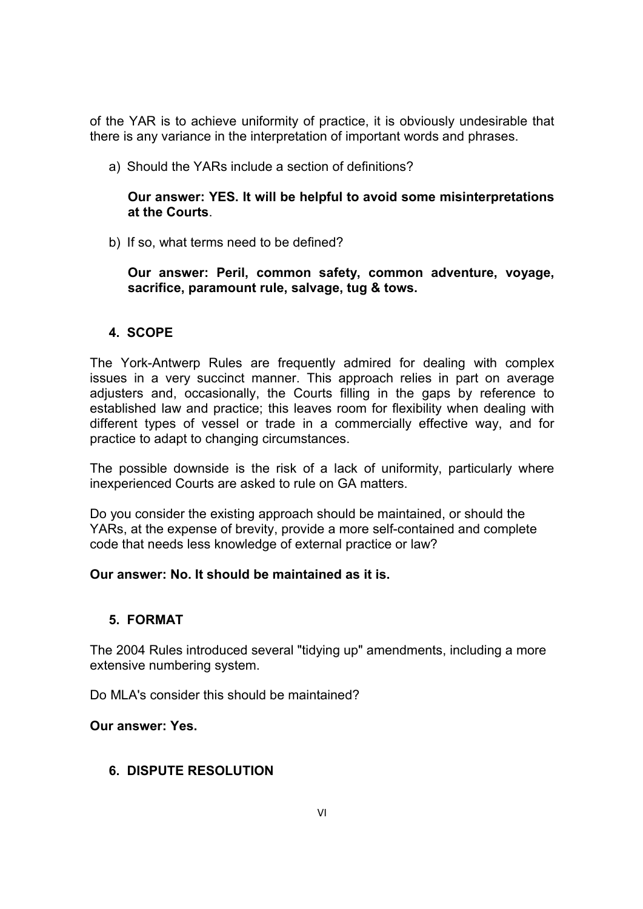of the YAR is to achieve uniformity of practice, it is obviously undesirable that there is any variance in the interpretation of important words and phrases.

a) Should the YARs include a section of definitions?

### **Our answer: YES. It will be helpful to avoid some misinterpretations at the Courts**.

b) If so, what terms need to be defined?

**Our answer: Peril, common safety, common adventure, voyage, sacrifice, paramount rule, salvage, tug & tows.**

### **4. SCOPE**

The York-Antwerp Rules are frequently admired for dealing with complex issues in a very succinct manner. This approach relies in part on average adjusters and, occasionally, the Courts filling in the gaps by reference to established law and practice; this leaves room for flexibility when dealing with different types of vessel or trade in a commercially effective way, and for practice to adapt to changing circumstances.

The possible downside is the risk of a lack of uniformity, particularly where inexperienced Courts are asked to rule on GA matters.

Do you consider the existing approach should be maintained, or should the YARs, at the expense of brevity, provide a more self-contained and complete code that needs less knowledge of external practice or law?

## **Our answer: No. It should be maintained as it is.**

#### **5. FORMAT**

The 2004 Rules introduced several "tidying up" amendments, including a more extensive numbering system.

Do MLA's consider this should be maintained?

#### **Our answer: Yes.**

### **6. DISPUTE RESOLUTION**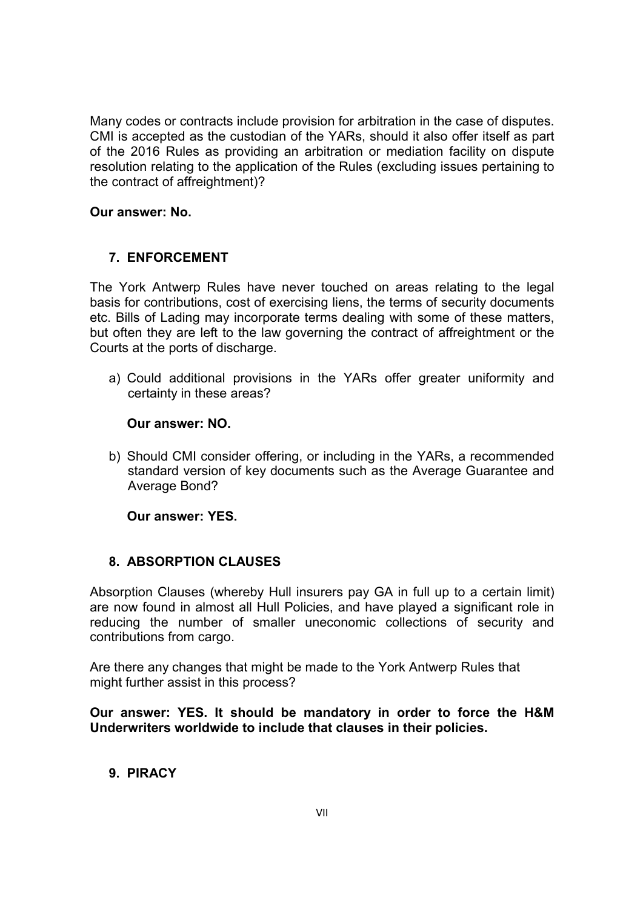Many codes or contracts include provision for arbitration in the case of disputes. CMI is accepted as the custodian of the YARs, should it also offer itself as part of the 2016 Rules as providing an arbitration or mediation facility on dispute resolution relating to the application of the Rules (excluding issues pertaining to the contract of affreightment)?

### **Our answer: No.**

## **7. ENFORCEMENT**

The York Antwerp Rules have never touched on areas relating to the legal basis for contributions, cost of exercising liens, the terms of security documents etc. Bills of Lading may incorporate terms dealing with some of these matters, but often they are left to the law governing the contract of affreightment or the Courts at the ports of discharge.

a) Could additional provisions in the YARs offer greater uniformity and certainty in these areas?

#### **Our answer: NO.**

b) Should CMI consider offering, or including in the YARs, a recommended standard version of key documents such as the Average Guarantee and Average Bond?

**Our answer: YES.**

### **8. ABSORPTION CLAUSES**

Absorption Clauses (whereby Hull insurers pay GA in full up to a certain limit) are now found in almost all Hull Policies, and have played a significant role in reducing the number of smaller uneconomic collections of security and contributions from cargo.

Are there any changes that might be made to the York Antwerp Rules that might further assist in this process?

**Our answer: YES. It should be mandatory in order to force the H&M Underwriters worldwide to include that clauses in their policies.**

## **9. PIRACY**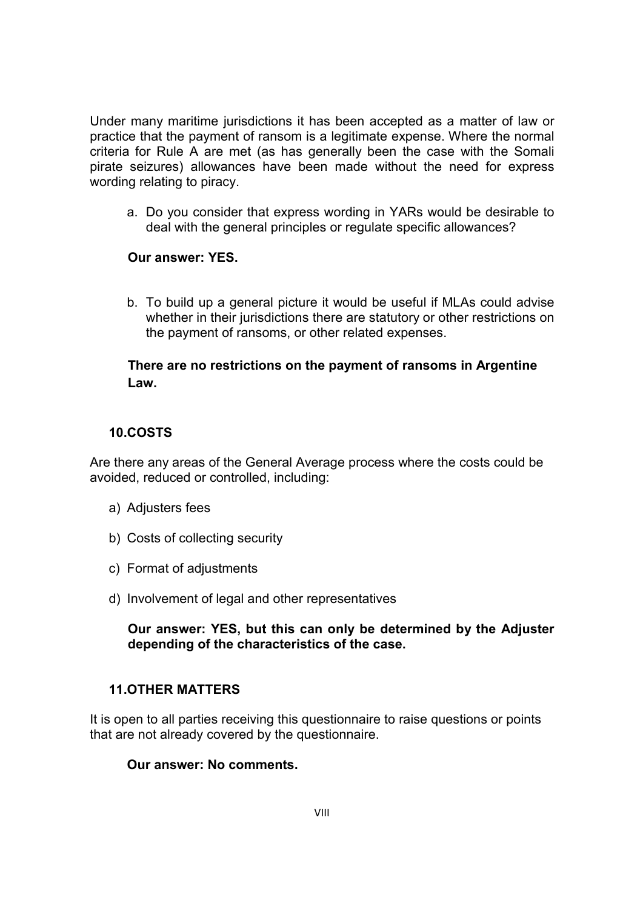Under many maritime jurisdictions it has been accepted as a matter of law or practice that the payment of ransom is a legitimate expense. Where the normal criteria for Rule A are met (as has generally been the case with the Somali pirate seizures) allowances have been made without the need for express wording relating to piracy.

a. Do you consider that express wording in YARs would be desirable to deal with the general principles or regulate specific allowances?

## **Our answer: YES.**

b. To build up a general picture it would be useful if MLAs could advise whether in their jurisdictions there are statutory or other restrictions on the payment of ransoms, or other related expenses.

## **There are no restrictions on the payment of ransoms in Argentine Law.**

## **10.COSTS**

Are there any areas of the General Average process where the costs could be avoided, reduced or controlled, including:

- a) Adjusters fees
- b) Costs of collecting security
- c) Format of adjustments
- d) Involvement of legal and other representatives

#### **Our answer: YES, but this can only be determined by the Adjuster depending of the characteristics of the case.**

### **11.OTHER MATTERS**

It is open to all parties receiving this questionnaire to raise questions or points that are not already covered by the questionnaire.

#### **Our answer: No comments.**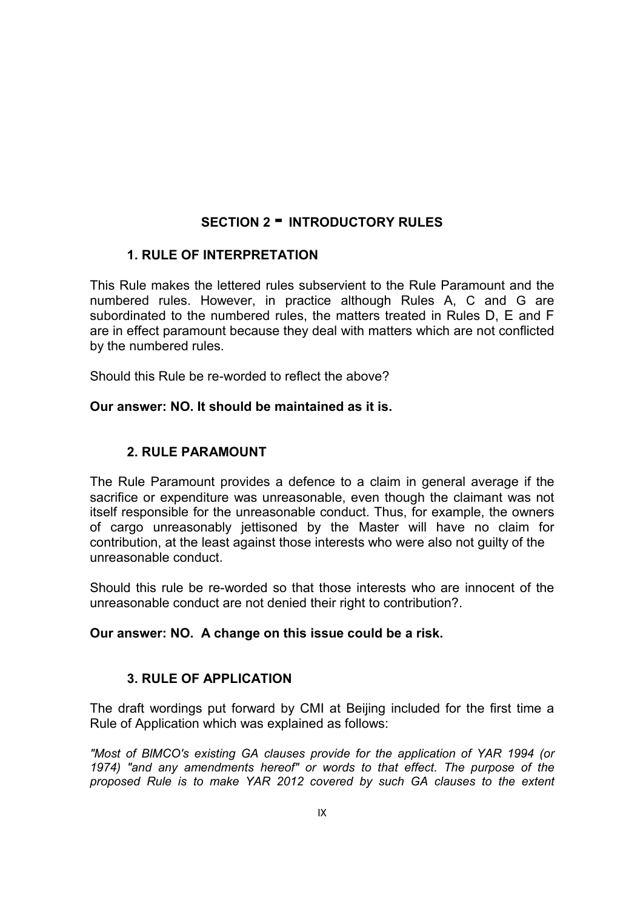# **SECTION 2 - INTRODUCTORY RULES**

## **1. RULE OF INTERPRETATION**

This Rule makes the lettered rules subservient to the Rule Paramount and the numbered rules. However, in practice although Rules A, C and G are subordinated to the numbered rules, the matters treated in Rules D, E and F are in effect paramount because they deal with matters which are not conflicted by the numbered rules.

Should this Rule be re-worded to reflect the above?

### **Our answer: NO. It should be maintained as it is.**

# **2. RULE PARAMOUNT**

The Rule Paramount provides a defence to a claim in general average if the sacrifice or expenditure was unreasonable, even though the claimant was not itself responsible for the unreasonable conduct. Thus, for example, the owners of cargo unreasonably jettisoned by the Master will have no claim for contribution, at the least against those interests who were also not guilty of the unreasonable conduct.

Should this rule be re-worded so that those interests who are innocent of the unreasonable conduct are not denied their right to contribution?.

### **Our answer: NO. A change on this issue could be a risk.**

### **3. RULE OF APPLICATION**

The draft wordings put forward by CMI at Beijing included for the first time a Rule of Application which was explained as follows:

*"Most of BlMCO's existing GA clauses provide for the application of YAR 1994 (or 1974) "and any amendments hereof" or words to that effect. The purpose of the proposed Rule is to make YAR 2012 covered by such GA clauses to the extent*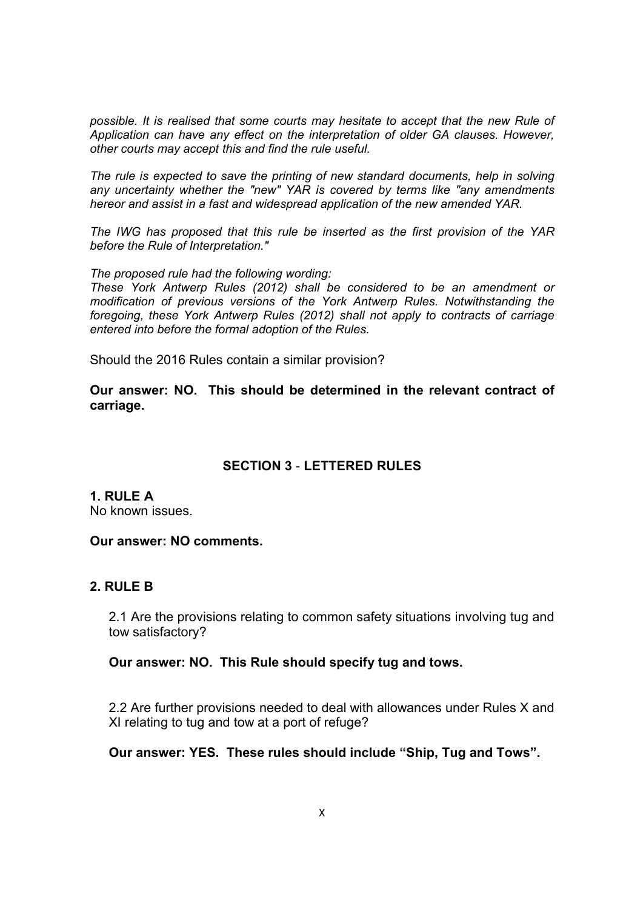*possible. It is realised that some courts may hesitate to accept that the new Rule of Application can have any effect on the interpretation of older GA clauses. However, other courts may accept this and find the rule useful.*

*The rule is expected to save the printing of new standard documents, help in solving any uncertainty whether the "new" YAR is covered by terms like "any amendments hereor and assist in a fast and widespread application of the new amended YAR.*

*The IWG has proposed that this rule be inserted as the first provision of the YAR before the Rule of Interpretation."*

*The proposed rule had the following wording:*

*These York Antwerp Rules (2012) shall be considered to be an amendment or modification of previous versions of the York Antwerp Rules. Notwithstanding the foregoing, these York Antwerp Rules (2012) shall not apply to contracts of carriage entered into before the formal adoption of the Rules.*

Should the 2016 Rules contain a similar provision?

**Our answer: NO. This should be determined in the relevant contract of carriage.**

### **SECTION 3** - **LETTERED RULES**

**1. RULE A**

No known issues.

#### **Our answer: NO comments.**

#### **2. RULE B**

2.1 Are the provisions relating to common safety situations involving tug and tow satisfactory?

#### **Our answer: NO. This Rule should specify tug and tows.**

2.2 Are further provisions needed to deal with allowances under Rules X and XI relating to tug and tow at a port of refuge?

**Our answer: YES. These rules should include "Ship, Tug and Tows".**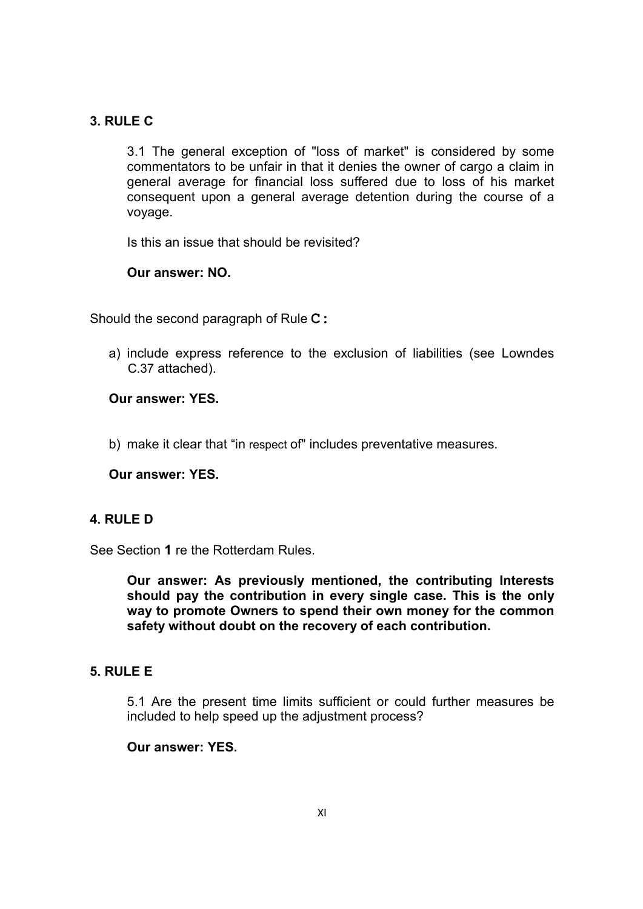## **3. RULE C**

3.1 The general exception of "loss of market" is considered by some commentators to be unfair in that it denies the owner of cargo a claim in general average for financial loss suffered due to loss of his market consequent upon a general average detention during the course of a voyage.

Is this an issue that should be revisited?

#### **Our answer: NO.**

Should the second paragraph of Rule **C:**

a) include express reference to the exclusion of liabilities (see Lowndes C.37 attached).

### **Our answer: YES.**

b) make it clear that "in respect of" includes preventative measures.

#### **Our answer: YES.**

#### **4. RULE D**

See Section **1** re the Rotterdam Rules.

**Our answer: As previously mentioned, the contributing Interests should pay the contribution in every single case. This is the only way to promote Owners to spend their own money for the common safety without doubt on the recovery of each contribution.**

#### **5. RULE E**

5.1 Are the present time limits sufficient or could further measures be included to help speed up the adjustment process?

#### **Our answer: YES.**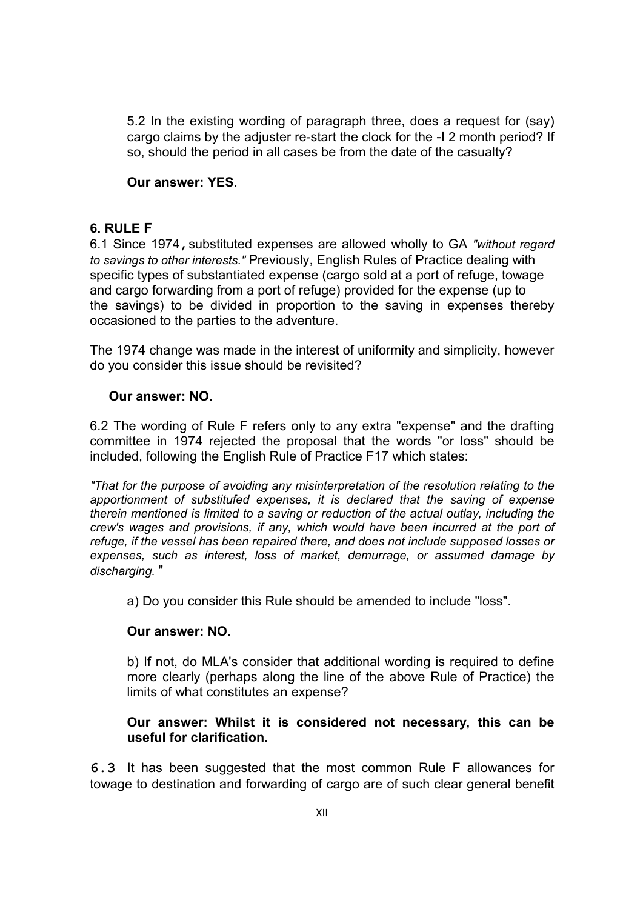5.2 In the existing wording of paragraph three, does a request for (say) cargo claims by the adjuster re-start the clock for the -I 2 month period? If so, should the period in all cases be from the date of the casualty?

#### **Our answer: YES.**

#### **6. RULE F**

6.1 Since 1974,substituted expenses are allowed wholly to GA *"without regard to savings to other interests."* Previously, English Rules of Practice dealing with specific types of substantiated expense (cargo sold at a port of refuge, towage and cargo forwarding from a port of refuge) provided for the expense (up to the savings) to be divided in proportion to the saving in expenses thereby occasioned to the parties to the adventure.

The 1974 change was made in the interest of uniformity and simplicity, however do you consider this issue should be revisited?

### **Our answer: NO.**

6.2 The wording of Rule F refers only to any extra "expense" and the drafting committee in 1974 rejected the proposal that the words "or loss" should be included, following the English Rule of Practice F17 which states:

*"That for the purpose of avoiding any misinterpretation of the resolution relating to the apportionment of substitufed expenses, it is declared that the saving of expense therein mentioned is limited to a saving or reduction of the actual outlay, including the crew's wages and provisions, if any, which would have been incurred at the port of refuge, if the vessel has been repaired there, and does not include supposed losses or expenses, such as interest, loss of market, demurrage, or assumed damage by discharging.* "

a) Do you consider this Rule should be amended to include "loss".

### **Our answer: NO.**

b) If not, do MLA's consider that additional wording is required to define more clearly (perhaps along the line of the above Rule of Practice) the limits of what constitutes an expense?

### **Our answer: Whilst it is considered not necessary, this can be useful for clarification.**

**6.3** It has been suggested that the most common Rule F allowances for towage to destination and forwarding of cargo are of such clear general benefit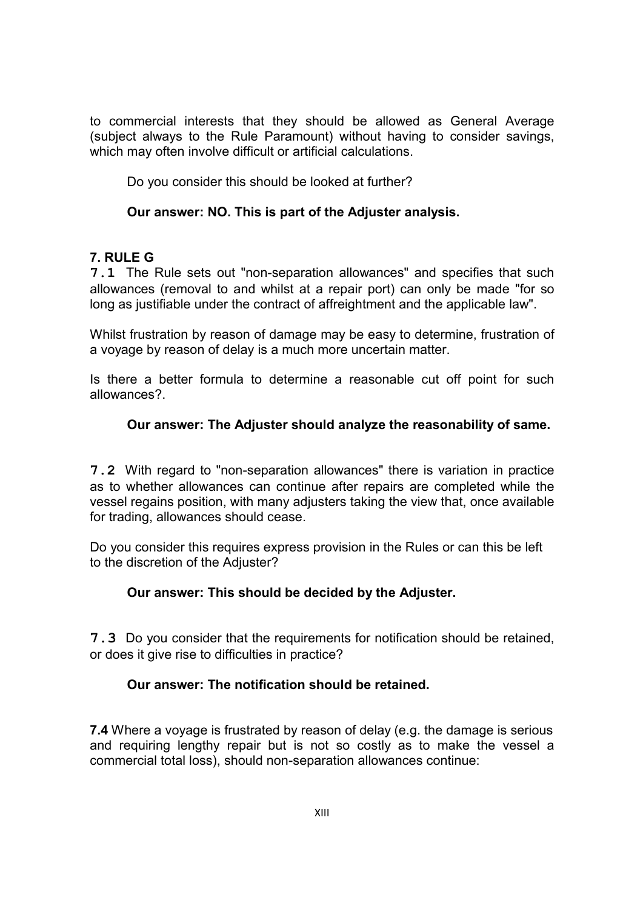to commercial interests that they should be allowed as General Average (subject always to the Rule Paramount) without having to consider savings, which may often involve difficult or artificial calculations.

Do you consider this should be looked at further?

# **Our answer: NO. This is part of the Adjuster analysis.**

# **7. RULE G**

**7.1** The Rule sets out "non-separation allowances" and specifies that such allowances (removal to and whilst at a repair port) can only be made "for so long as justifiable under the contract of affreightment and the applicable law".

Whilst frustration by reason of damage may be easy to determine, frustration of a voyage by reason of delay is a much more uncertain matter.

Is there a better formula to determine a reasonable cut off point for such allowances?.

# **Our answer: The Adjuster should analyze the reasonability of same.**

**7.2** With regard to "non-separation allowances" there is variation in practice as to whether allowances can continue after repairs are completed while the vessel regains position, with many adjusters taking the view that, once available for trading, allowances should cease.

Do you consider this requires express provision in the Rules or can this be left to the discretion of the Adjuster?

# **Our answer: This should be decided by the Adjuster.**

**7.3** Do you consider that the requirements for notification should be retained, or does it give rise to difficulties in practice?

# **Our answer: The notification should be retained.**

**7.4** Where a voyage is frustrated by reason of delay (e.g. the damage is serious and requiring lengthy repair but is not so costly as to make the vessel a commercial total loss), should non-separation allowances continue: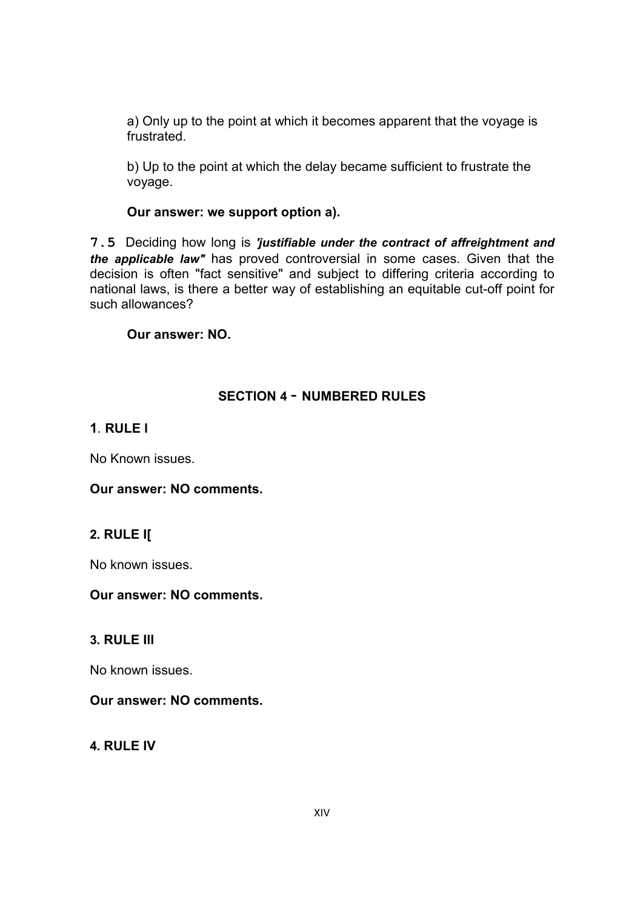a) Only up to the point at which it becomes apparent that the voyage is frustrated.

b) Up to the point at which the delay became sufficient to frustrate the voyage.

### **Our answer: we support option a).**

**7.5** Deciding how long is *'justifiable under the contract of affreightment and the applicable law"* has proved controversial in some cases. Given that the decision is often "fact sensitive" and subject to differing criteria according to national laws, is there a better way of establishing an equitable cut-off point for such allowances?

### **Our answer: NO.**

## **SECTION 4** - **NUMBERED RULES**

## **1***.* **RULE l**

No Known issues.

**Our answer: NO comments.**

# **2. RULE I[**

No known issues.

### **Our answer: NO comments.**

### **3. RULE Ill**

No known issues.

### **Our answer: NO comments.**

**4. RULE IV**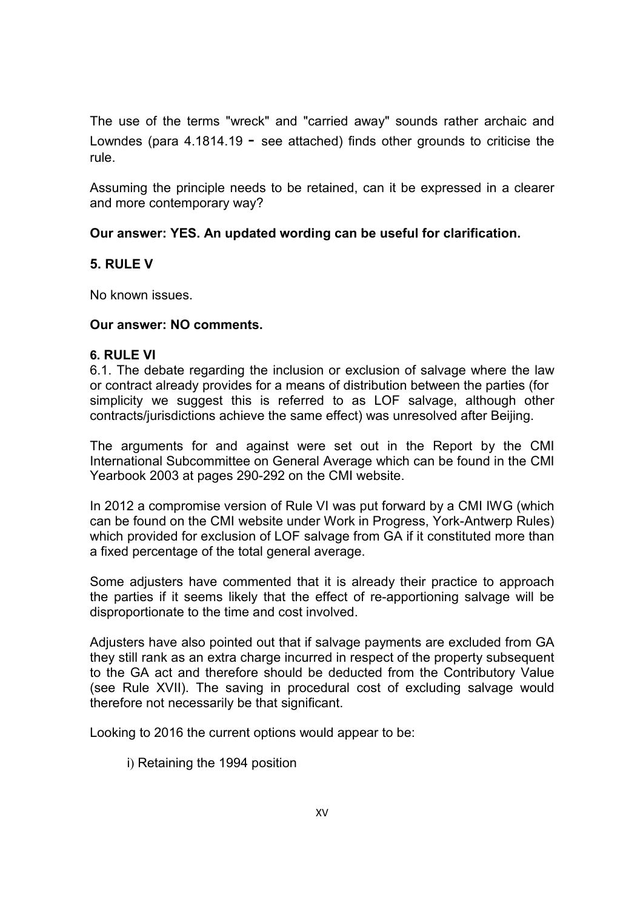The use of the terms "wreck" and "carried away" sounds rather archaic and Lowndes (para  $4.1814.19$  - see attached) finds other grounds to criticise the rule.

Assuming the principle needs to be retained, can it be expressed in a clearer and more contemporary way?

## **Our answer: YES. An updated wording can be useful for clarification.**

## **5. RULE V**

No known issues.

### **Our answer: NO comments.**

### **6. RULE VI**

6.1. The debate regarding the inclusion or exclusion of salvage where the law or contract already provides for a means of distribution between the parties (for simplicity we suggest this is referred to as LOF salvage, although other contracts/jurisdictions achieve the same effect) was unresolved after Beijing.

The arguments for and against were set out in the Report by the CMI International Subcommittee on General Average which can be found in the CMI Yearbook 2003 at pages 290-292 on the CMI website.

In 2012 a compromise version of Rule VI was put forward by a CMI IWG (which can be found on the CMI website under Work in Progress, York-Antwerp Rules) which provided for exclusion of LOF salvage from GA if it constituted more than a fixed percentage of the total general average.

Some adjusters have commented that it is already their practice to approach the parties if it seems likely that the effect of re-apportioning salvage will be disproportionate to the time and cost involved.

Adjusters have also pointed out that if salvage payments are excluded from GA they still rank as an extra charge incurred in respect of the property subsequent to the GA act and therefore should be deducted from the Contributory Value (see Rule XVII). The saving in procedural cost of excluding salvage would therefore not necessarily be that significant.

Looking to 2016 the current options would appear to be:

i) Retaining the 1994 position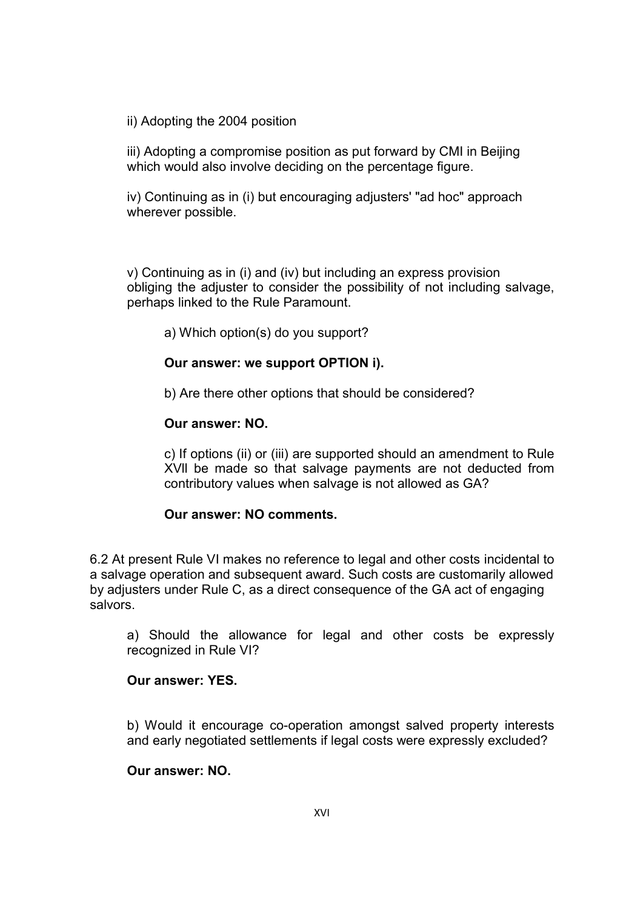ii) Adopting the 2004 position

iii) Adopting a compromise position as put forward by CMI in Beijing which would also involve deciding on the percentage figure.

iv) Continuing as in (i) but encouraging adjusters' "ad hoc" approach wherever possible.

v) Continuing as in (i) and (iv) but including an express provision obliging the adjuster to consider the possibility of not including salvage, perhaps linked to the Rule Paramount.

a) Which option(s) do you support?

#### **Our answer: we support OPTION i).**

b) Are there other options that should be considered?

#### **Our answer: NO.**

c) If options (ii) or (iii) are supported should an amendment to Rule XVll be made so that salvage payments are not deducted from contributory values when salvage is not allowed as GA?

#### **Our answer: NO comments.**

6.2 At present Rule VI makes no reference to legal and other costs incidental to a salvage operation and subsequent award. Such costs are customarily allowed by adjusters under Rule C, as a direct consequence of the GA act of engaging salvors.

a) Should the allowance for legal and other costs be expressly recognized in Rule VI?

## **Our answer: YES.**

b) Would it encourage co-operation amongst salved property interests and early negotiated settlements if legal costs were expressly excluded?

#### **Our answer: NO.**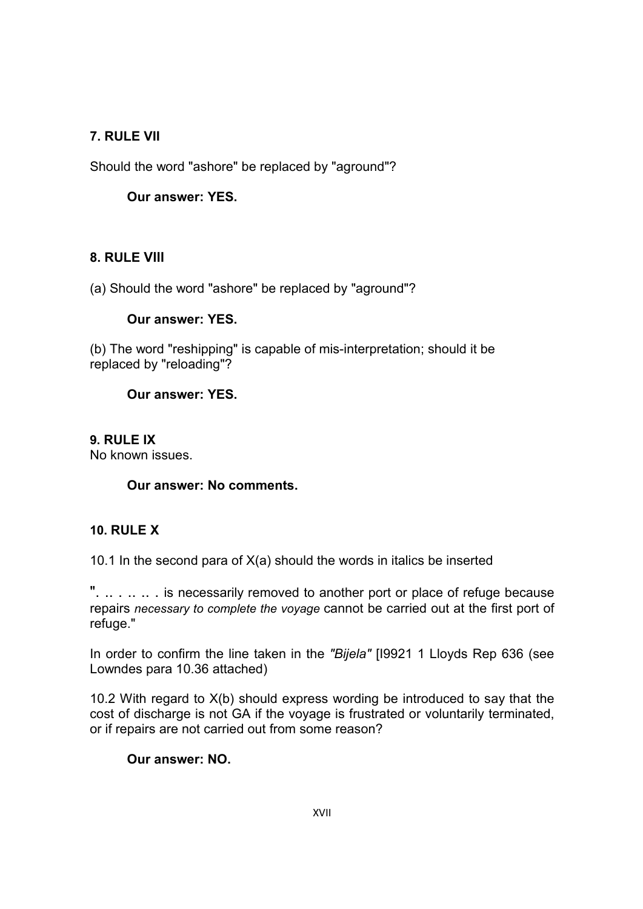# **7. RULE VII**

Should the word "ashore" be replaced by "aground"?

# **Our answer: YES.**

# **8. RULE Vlll**

(a) Should the word "ashore" be replaced by "aground"?

## **Our answer: YES.**

(b) The word "reshipping" is capable of mis-interpretation; should it be replaced by "reloading"?

## **Our answer: YES.**

## **9. RULE IX**

No known issues.

### **Our answer: No comments.**

# **10. RULE X**

10.1 In the second para of  $X(a)$  should the words in italics be inserted

" $\ldots$  ... ... is necessarily removed to another port or place of refuge because repairs *necessary to complete the voyage* cannot be carried out at the first port of refuge."

In order to confirm the line taken in the *"Bijela"* [I9921 1 Lloyds Rep 636 (see Lowndes para 10.36 attached)

10.2 With regard to X(b) should express wording be introduced to say that the cost of discharge is not GA if the voyage is frustrated or voluntarily terminated, or if repairs are not carried out from some reason?

### **Our answer: NO.**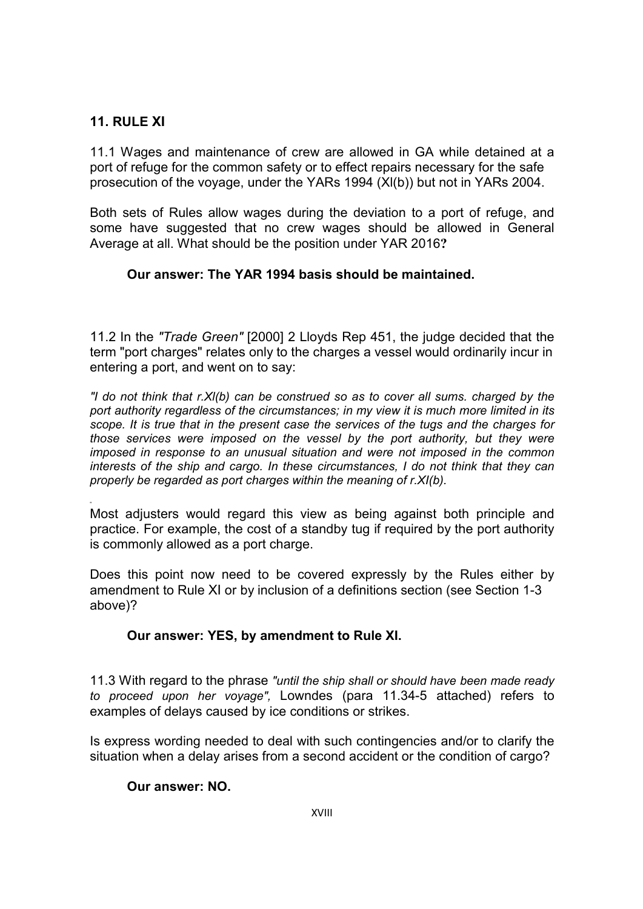# **11. RULE XI**

11.1 Wages and maintenance of crew are allowed in GA while detained at a port of refuge for the common safety or to effect repairs necessary for the safe prosecution of the voyage, under the YARs 1994 (Xl(b)) but not in YARs 2004.

Both sets of Rules allow wages during the deviation to a port of refuge, and some have suggested that no crew wages should be allowed in General Average at all. What should be the position under YAR 2016**?**

## **Our answer: The YAR 1994 basis should be maintained.**

11.2 In the *"Trade Green"* [2000] 2 Lloyds Rep 451, the judge decided that the term "port charges" relates only to the charges a vessel would ordinarily incur in entering a port, and went on to say:

*"I do not think that r.Xl(b) can be construed so as to cover all sums. charged by the port authority regardless of the circumstances; in my view it is much more limited in its scope. It is true that in the present case the services of the tugs and the charges for those services were imposed on the vessel by the port authority, but they were imposed in response to an unusual situation and were not imposed in the common interests of the ship and cargo. In these circumstances, I do not think that they can properly be regarded as port charges within the meaning of r.XI(b).*

" Most adjusters would regard this view as being against both principle and practice. For example, the cost of a standby tug if required by the port authority is commonly allowed as a port charge.

Does this point now need to be covered expressly by the Rules either by amendment to Rule XI or by inclusion of a definitions section (see Section 1-3 above)?

### **Our answer: YES, by amendment to Rule XI.**

11.3 With regard to the phrase *"until the ship shall or should have been made ready to proceed upon her voyage",* Lowndes (para 11.34-5 attached) refers to examples of delays caused by ice conditions or strikes.

Is express wording needed to deal with such contingencies and/or to clarify the situation when a delay arises from a second accident or the condition of cargo?

# **Our answer: NO.**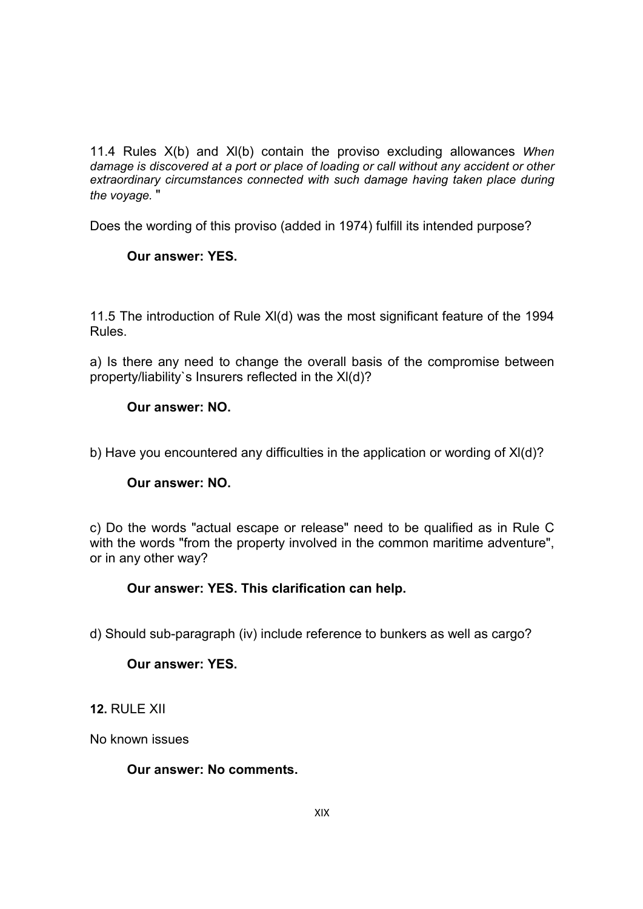11.4 Rules X(b) and Xl(b) contain the proviso excluding allowances *When damage is discovered at a port or place of loading or call without any accident or other extraordinary circumstances connected with such damage having taken place during the voyage.* "

Does the wording of this proviso (added in 1974) fulfill its intended purpose?

# **Our answer: YES.**

11.5 The introduction of Rule Xl(d) was the most significant feature of the 1994 Rules.

a) Is there any need to change the overall basis of the compromise between property/liability`s Insurers reflected in the Xl(d)?

## **Our answer: NO.**

b) Have you encountered any difficulties in the application or wording of Xl(d)?

### **Our answer: NO.**

c) Do the words "actual escape or release" need to be qualified as in Rule C with the words "from the property involved in the common maritime adventure", or in any other way?

### **Our answer: YES. This clarification can help.**

d) Should sub-paragraph (iv) include reference to bunkers as well as cargo?

### **Our answer: YES.**

**12.** RULE XII

No known issues

**Our answer: No comments.**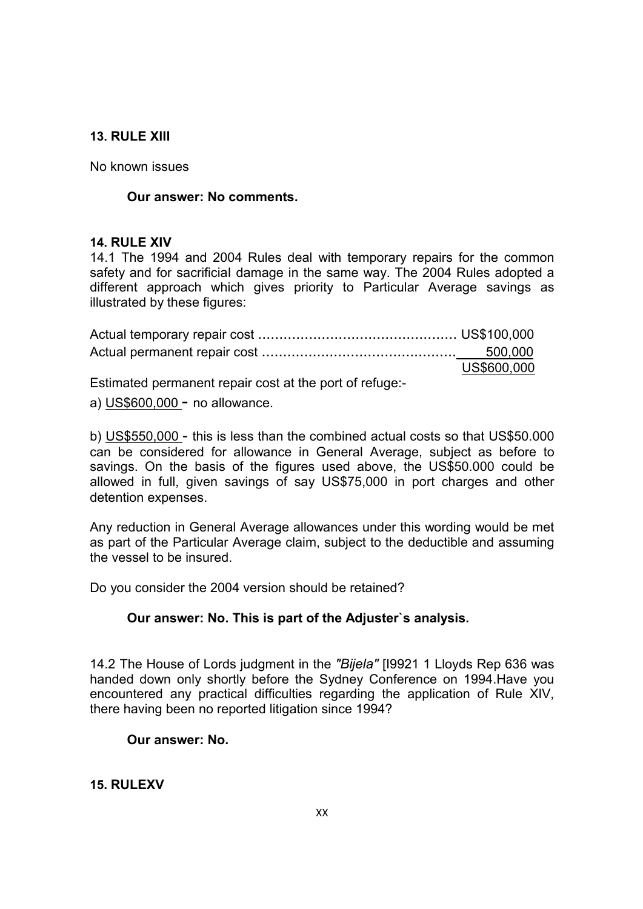## **13. RULE Xlll**

No known issues

### **Our answer: No comments.**

#### **14. RULE XIV**

14.1 The 1994 and 2004 Rules deal with temporary repairs for the common safety and for sacrificial damage in the same way. The 2004 Rules adopted a different approach which gives priority to Particular Average savings as illustrated by these figures:

| US\$600,000 |
|-------------|

Estimated permanent repair cost at the port of refuge:-

a) US\$600,000 - no allowance.

b) US\$550,000 - this is less than the combined actual costs so that US\$50.000 can be considered for allowance in General Average, subject as before to savings. On the basis of the figures used above, the US\$50.000 could be allowed in full, given savings of say US\$75,000 in port charges and other detention expenses.

Any reduction in General Average allowances under this wording would be met as part of the Particular Average claim, subject to the deductible and assuming the vessel to be insured.

Do you consider the 2004 version should be retained?

# **Our answer: No. This is part of the Adjuster`s analysis.**

14.2 The House of Lords judgment in the *"Bijela"* [I9921 1 Lloyds Rep 636 was handed down only shortly before the Sydney Conference on 1994.Have you encountered any practical difficulties regarding the application of Rule XIV, there having been no reported litigation since 1994?

### **Our answer: No.**

### **15. RULEXV**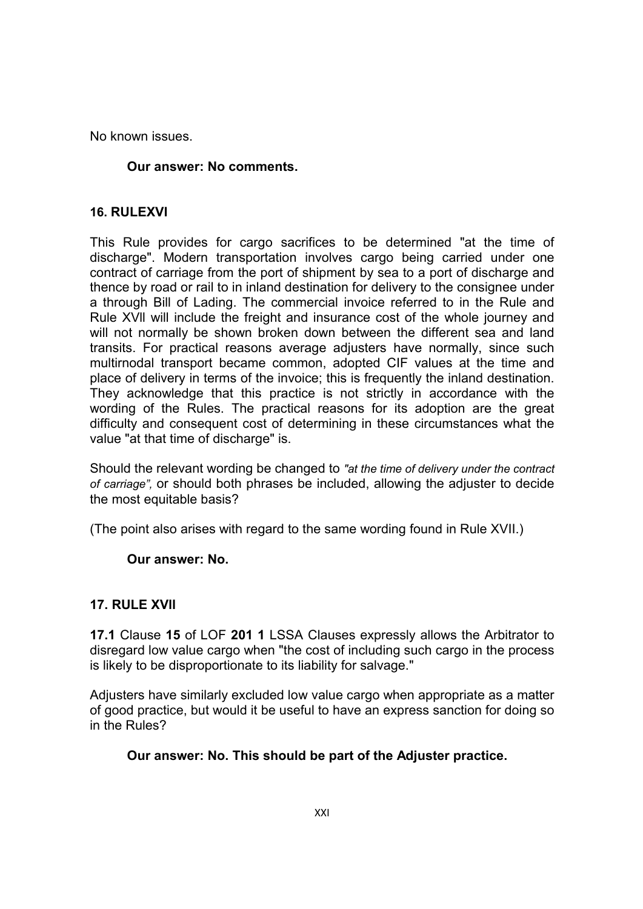No known issues.

## **Our answer: No comments.**

## **16. RULEXVI**

This Rule provides for cargo sacrifices to be determined "at the time of discharge". Modern transportation involves cargo being carried under one contract of carriage from the port of shipment by sea to a port of discharge and thence by road or rail to in inland destination for delivery to the consignee under a through Bill of Lading. The commercial invoice referred to in the Rule and Rule XVll will include the freight and insurance cost of the whole journey and will not normally be shown broken down between the different sea and land transits. For practical reasons average adjusters have normally, since such multirnodal transport became common, adopted CIF values at the time and place of delivery in terms of the invoice; this is frequently the inland destination. They acknowledge that this practice is not strictly in accordance with the wording of the Rules. The practical reasons for its adoption are the great difficulty and consequent cost of determining in these circumstances what the value "at that time of discharge" is.

Should the relevant wording be changed to *"at the time of delivery under the contract of carriage",* or should both phrases be included, allowing the adjuster to decide the most equitable basis?

(The point also arises with regard to the same wording found in Rule XVII.)

### **Our answer: No.**

### **17. RULE XVll**

**17.1** Clause **15** of LOF **201 1** LSSA Clauses expressly allows the Arbitrator to disregard low value cargo when "the cost of including such cargo in the process is likely to be disproportionate to its liability for salvage."

Adjusters have similarly excluded low value cargo when appropriate as a matter of good practice, but would it be useful to have an express sanction for doing so in the Rules?

### **Our answer: No. This should be part of the Adjuster practice.**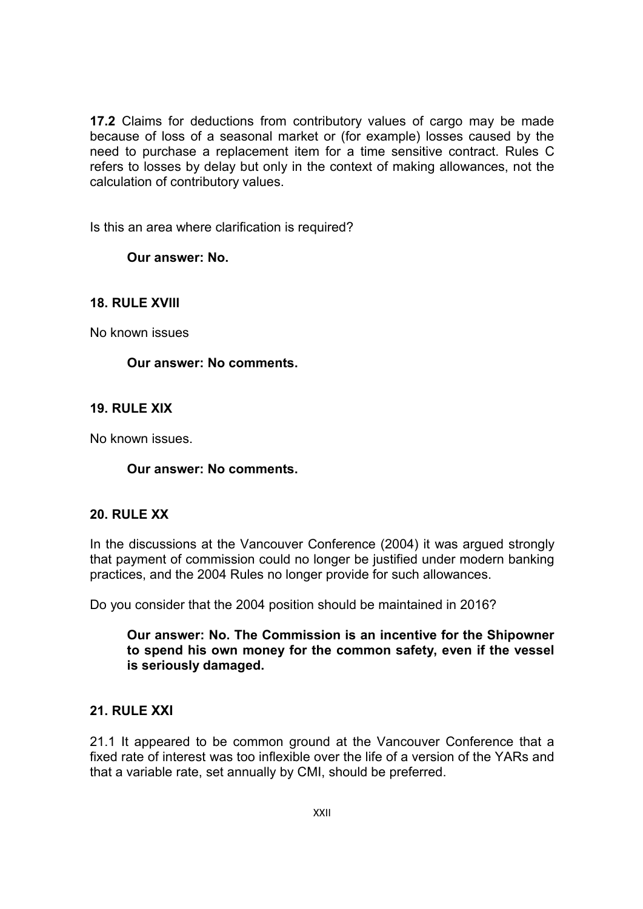**17.2** Claims for deductions from contributory values of cargo may be made because of loss of a seasonal market or (for example) losses caused by the need to purchase a replacement item for a time sensitive contract. Rules C refers to losses by delay but only in the context of making allowances, not the calculation of contributory values.

Is this an area where clarification is required?

**Our answer: No.**

## **18. RULE XVlll**

No known issues

### **Our answer: No comments.**

## **19. RULE XIX**

No known issues.

## **Our answer: No comments.**

### **20. RULE XX**

In the discussions at the Vancouver Conference (2004) it was argued strongly that payment of commission could no longer be justified under modern banking practices, and the 2004 Rules no longer provide for such allowances.

Do you consider that the 2004 position should be maintained in 2016?

### **Our answer: No. The Commission is an incentive for the Shipowner to spend his own money for the common safety, even if the vessel is seriously damaged.**

### **21. RULE XXI**

21.1 It appeared to be common ground at the Vancouver Conference that a fixed rate of interest was too inflexible over the life of a version of the YARs and that a variable rate, set annually by CMI, should be preferred.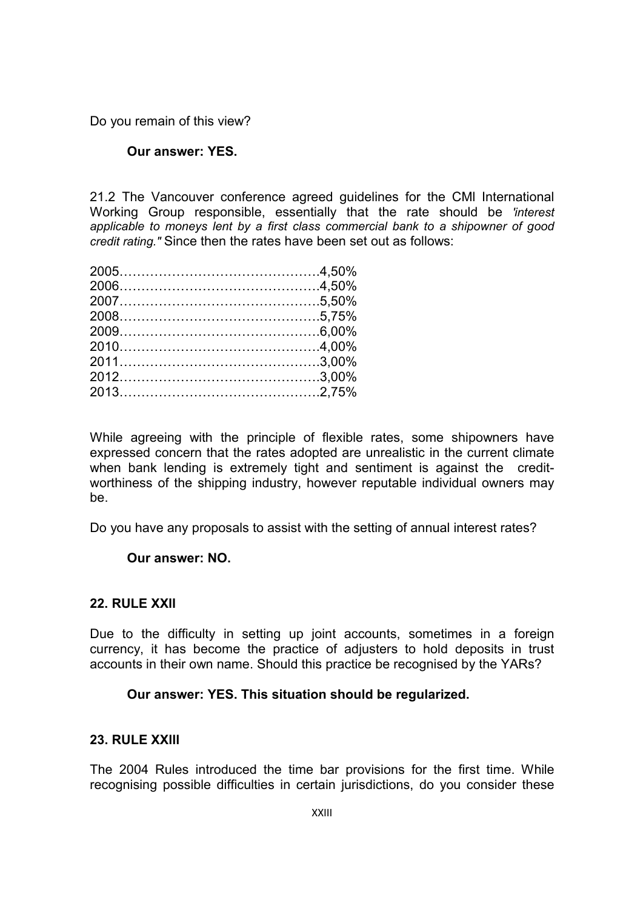Do you remain of this view?

### **Our answer: YES.**

21.2 The Vancouver conference agreed guidelines for the CMl International Working Group responsible, essentially that the rate should be *'interest applicable to moneys lent by a first class commercial bank to a shipowner of good credit rating."* Since then the rates have been set out as follows:

While agreeing with the principle of flexible rates, some shipowners have expressed concern that the rates adopted are unrealistic in the current climate when bank lending is extremely tight and sentiment is against the creditworthiness of the shipping industry, however reputable individual owners may be.

Do you have any proposals to assist with the setting of annual interest rates?

### **Our answer: NO.**

### **22. RULE XXll**

Due to the difficulty in setting up joint accounts, sometimes in a foreign currency, it has become the practice of adjusters to hold deposits in trust accounts in their own name. Should this practice be recognised by the YARs?

### **Our answer: YES. This situation should be regularized.**

### **23. RULE XXlll**

The 2004 Rules introduced the time bar provisions for the first time. While recognising possible difficulties in certain jurisdictions, do you consider these